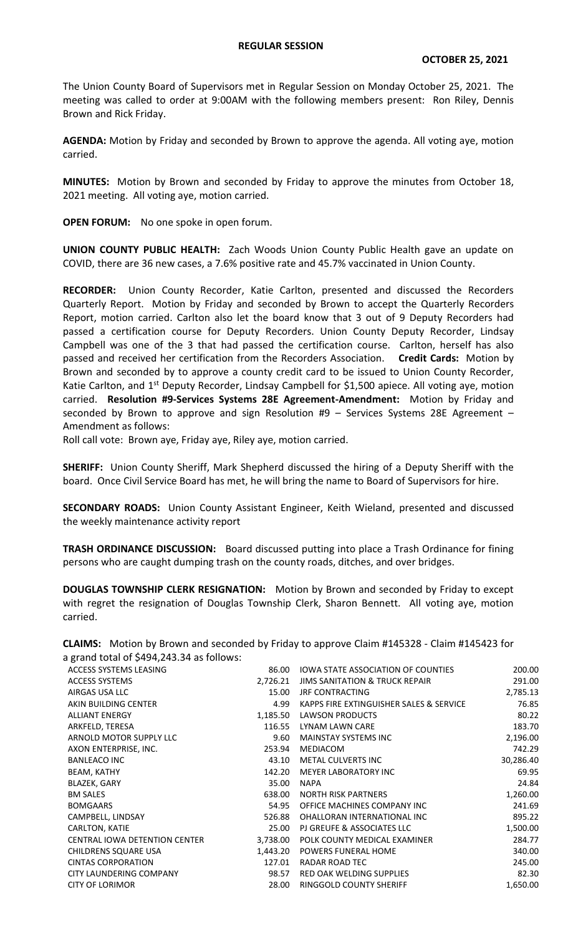## **REGULAR SESSION**

The Union County Board of Supervisors met in Regular Session on Monday October 25, 2021. The meeting was called to order at 9:00AM with the following members present: Ron Riley, Dennis Brown and Rick Friday.

**AGENDA:** Motion by Friday and seconded by Brown to approve the agenda. All voting aye, motion carried.

**MINUTES:** Motion by Brown and seconded by Friday to approve the minutes from October 18, 2021 meeting. All voting aye, motion carried.

**OPEN FORUM:** No one spoke in open forum.

**UNION COUNTY PUBLIC HEALTH:** Zach Woods Union County Public Health gave an update on COVID, there are 36 new cases, a 7.6% positive rate and 45.7% vaccinated in Union County.

**RECORDER:** Union County Recorder, Katie Carlton, presented and discussed the Recorders Quarterly Report. Motion by Friday and seconded by Brown to accept the Quarterly Recorders Report, motion carried. Carlton also let the board know that 3 out of 9 Deputy Recorders had passed a certification course for Deputy Recorders. Union County Deputy Recorder, Lindsay Campbell was one of the 3 that had passed the certification course. Carlton, herself has also passed and received her certification from the Recorders Association. **Credit Cards:** Motion by Brown and seconded by to approve a county credit card to be issued to Union County Recorder, Katie Carlton, and 1<sup>st</sup> Deputy Recorder, Lindsay Campbell for \$1,500 apiece. All voting aye, motion carried. **Resolution #9-Services Systems 28E Agreement-Amendment:** Motion by Friday and seconded by Brown to approve and sign Resolution  $#9$  – Services Systems 28E Agreement – Amendment as follows:

Roll call vote: Brown aye, Friday aye, Riley aye, motion carried.

**SHERIFF:** Union County Sheriff, Mark Shepherd discussed the hiring of a Deputy Sheriff with the board. Once Civil Service Board has met, he will bring the name to Board of Supervisors for hire.

**SECONDARY ROADS:** Union County Assistant Engineer, Keith Wieland, presented and discussed the weekly maintenance activity report

**TRASH ORDINANCE DISCUSSION:** Board discussed putting into place a Trash Ordinance for fining persons who are caught dumping trash on the county roads, ditches, and over bridges.

**DOUGLAS TOWNSHIP CLERK RESIGNATION:** Motion by Brown and seconded by Friday to except with regret the resignation of Douglas Township Clerk, Sharon Bennett. All voting aye, motion carried.

**CLAIMS:** Motion by Brown and seconded by Friday to approve Claim #145328 - Claim #145423 for a grand total of \$494,243.34 as follows:

| ACCESS SYSTEMS LEASING        | 86.00    | IOWA STATE ASSOCIATION OF COUNTIES        | 200.00    |
|-------------------------------|----------|-------------------------------------------|-----------|
| <b>ACCESS SYSTEMS</b>         | 2,726.21 | <b>JIMS SANITATION &amp; TRUCK REPAIR</b> | 291.00    |
| AIRGAS USA LLC                | 15.00    | JRF CONTRACTING                           | 2,785.13  |
| AKIN BUILDING CENTER          | 4.99     | KAPPS FIRE EXTINGUISHER SALES & SERVICE   | 76.85     |
| <b>ALLIANT ENERGY</b>         | 1,185.50 | <b>LAWSON PRODUCTS</b>                    | 80.22     |
| ARKFELD, TERESA               | 116.55   | LYNAM LAWN CARE                           | 183.70    |
| ARNOLD MOTOR SUPPLY LLC       | 9.60     | MAINSTAY SYSTEMS INC                      | 2,196.00  |
| AXON ENTERPRISE, INC.         | 253.94   | MEDIACOM                                  | 742.29    |
| <b>BANLEACO INC</b>           | 43.10    | METAL CULVERTS INC                        | 30,286.40 |
| BEAM, KATHY                   | 142.20   | MEYER LABORATORY INC                      | 69.95     |
| BLAZEK, GARY                  | 35.00    | <b>NAPA</b>                               | 24.84     |
| <b>BM SALES</b>               | 638.00   | <b>NORTH RISK PARTNERS</b>                | 1,260.00  |
| <b>BOMGAARS</b>               | 54.95    | OFFICE MACHINES COMPANY INC               | 241.69    |
| CAMPBELL, LINDSAY             | 526.88   | OHALLORAN INTERNATIONAL INC               | 895.22    |
| CARLTON, KATIE                | 25.00    | PJ GREUFE & ASSOCIATES LLC                | 1,500.00  |
| CENTRAL IOWA DETENTION CENTER | 3,738.00 | POLK COUNTY MEDICAL EXAMINER              | 284.77    |
| CHILDRENS SQUARE USA          | 1,443.20 | <b>POWERS FUNERAL HOME</b>                | 340.00    |
| <b>CINTAS CORPORATION</b>     | 127.01   | RADAR ROAD TEC                            | 245.00    |
| CITY LAUNDERING COMPANY       | 98.57    | RED OAK WELDING SUPPLIES                  | 82.30     |
| <b>CITY OF LORIMOR</b>        | 28.00    | RINGGOLD COUNTY SHERIFF                   | 1,650.00  |
|                               |          |                                           |           |